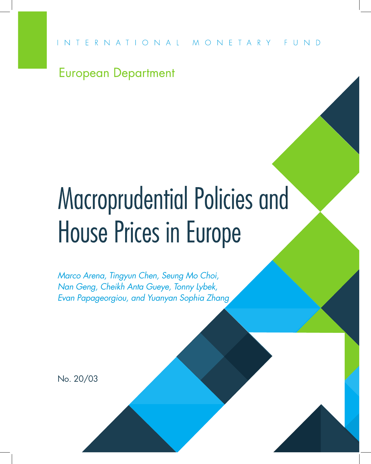

## European Department

# Macroprudential Policies and House Prices in Europe

*Marco Arena, Tingyun Chen, Seung Mo Choi, Nan Geng, Cheikh Anta Gueye, Tonny Lybek, Evan Papageorgiou, and Yuanyan Sophia Zhang*

No. 20/03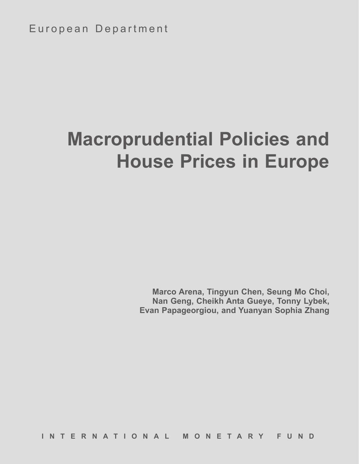## **Macroprudential Policies and House Prices in Europe**

**Marco Arena, Tingyun Chen, Seung Mo Choi, Nan Geng, Cheikh Anta Gueye, Tonny Lybek, Evan Papageorgiou, and Yuanyan Sophia Zhang**

**INTERNATIONAL MONETARY FUND**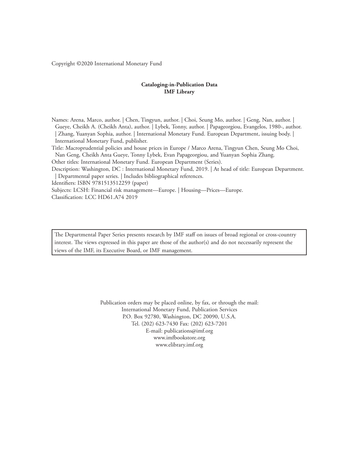Copyright ©2020 International Monetary Fund

#### **Cataloging-in-Publication Data IMF Library**

Names: Arena, Marco, author. | Chen, Tingyun, author. | Choi, Seung Mo, author. | Geng, Nan, author. | Gueye, Cheikh A. (Cheikh Anta), author. | Lybek, Tonny, author. | Papageorgiou, Evangelos, 1980-, author. | Zhang, Yuanyan Sophia, author. | International Monetary Fund. European Department, issuing body. | International Monetary Fund, publisher.

Title: Macroprudential policies and house prices in Europe / Marco Arena, Tingyun Chen, Seung Mo Choi, Nan Geng, Cheikh Anta Gueye, Tonny Lybek, Evan Papageorgiou, and Yuanyan Sophia Zhang.

Other titles: International Monetary Fund. European Department (Series).

Description: Washington, DC : International Monetary Fund, 2019. | At head of title: European Department. | Departmental paper series. | Includes bibliographical references.

Identifiers: ISBN 9781513512259 (paper)

Subjects: LCSH: Financial risk management—Europe. | Housing—Prices—Europe.

Classification: LCC HD61.A74 2019

The Departmental Paper Series presents research by IMF staff on issues of broad regional or cross-country interest. The views expressed in this paper are those of the author(s) and do not necessarily represent the views of the IMF, its Executive Board, or IMF management.

> Publication orders may be placed online, by fax, or through the mail: International Monetary Fund, Publication Services P.O. Box 92780, Washington, DC 20090, U.S.A. Tel. (202) 623-7430 Fax: (202) 623-7201 E-mail: publications@imf.org www.imfbookstore.org www.elibrary.imf.org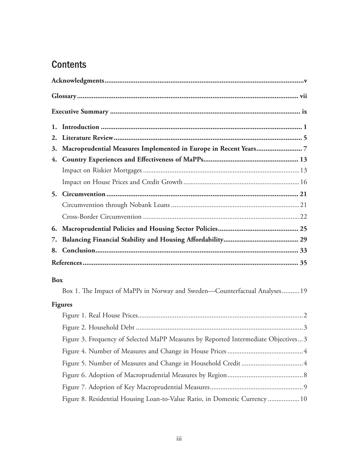## **Contents**

| 2.         |                                                                                    |  |  |
|------------|------------------------------------------------------------------------------------|--|--|
| 3.         |                                                                                    |  |  |
|            |                                                                                    |  |  |
|            |                                                                                    |  |  |
|            |                                                                                    |  |  |
|            |                                                                                    |  |  |
|            |                                                                                    |  |  |
|            |                                                                                    |  |  |
| 6.         |                                                                                    |  |  |
| 7.         |                                                                                    |  |  |
|            |                                                                                    |  |  |
|            |                                                                                    |  |  |
| <b>Box</b> |                                                                                    |  |  |
|            | Box 1. The Impact of MaPPs in Norway and Sweden—Counterfactual Analyses 19         |  |  |
|            | <b>Figures</b>                                                                     |  |  |
|            |                                                                                    |  |  |
|            |                                                                                    |  |  |
|            | Figure 3. Frequency of Selected MaPP Measures by Reported Intermediate Objectives3 |  |  |
|            |                                                                                    |  |  |
|            |                                                                                    |  |  |
|            |                                                                                    |  |  |
|            |                                                                                    |  |  |
|            | Figure 8. Residential Housing Loan-to-Value Ratio, in Domestic Currency  10        |  |  |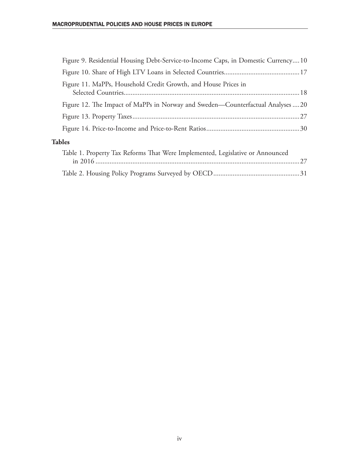|               | Figure 9. Residential Housing Debt-Service-to-Income Caps, in Domestic Currency 10 |  |  |  |  |
|---------------|------------------------------------------------------------------------------------|--|--|--|--|
|               |                                                                                    |  |  |  |  |
|               | Figure 11. MaPPs, Household Credit Growth, and House Prices in                     |  |  |  |  |
|               | Figure 12. The Impact of MaPPs in Norway and Sweden—Counterfactual Analyses  20    |  |  |  |  |
|               |                                                                                    |  |  |  |  |
|               |                                                                                    |  |  |  |  |
| <b>Tables</b> |                                                                                    |  |  |  |  |
|               | Table 1. Property Tax Reforms That Were Implemented, Legislative or Announced      |  |  |  |  |
|               |                                                                                    |  |  |  |  |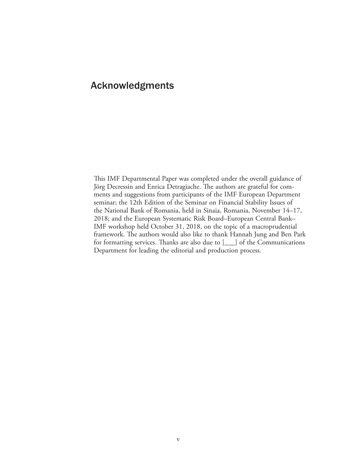### Acknowledgments

This IMF Departmental Paper was completed under the overall guidance of Jörg Decressin and Enrica Detragiache. The authors are grateful for comments and suggestions from participants of the IMF European Department seminar; the 12th Edition of the Seminar on Financial Stability Issues of the National Bank of Romania, held in Sinaia, Romania, November 14–17, 2018; and the European Systematic Risk Board–European Central Bank– IMF workshop held October 31, 2018, on the topic of a macroprudential framework. The authors would also like to thank Hannah Jung and Ben Park for formatting services. Thanks are also due to [\_\_\_] of the Communications Department for leading the editorial and production process.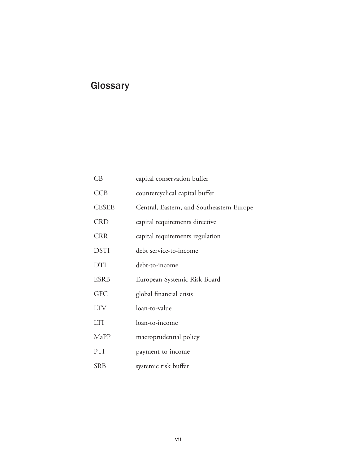## **Glossary**

| CB           | capital conservation buffer               |
|--------------|-------------------------------------------|
| CCB          | countercyclical capital buffer            |
| <b>CESEE</b> | Central, Eastern, and Southeastern Europe |
| <b>CRD</b>   | capital requirements directive            |
| <b>CRR</b>   | capital requirements regulation           |
| <b>DSTI</b>  | debt service-to-income                    |
| <b>DTI</b>   | debt-to-income                            |
| <b>ESRB</b>  | European Systemic Risk Board              |
| <b>GFC</b>   | global financial crisis                   |
| <b>LTV</b>   | loan-to-value                             |
| <b>LTI</b>   | loan-to-income                            |
| MaPP         | macroprudential policy                    |
| PTI          | payment-to-income                         |
| <b>SRB</b>   | systemic risk buffer                      |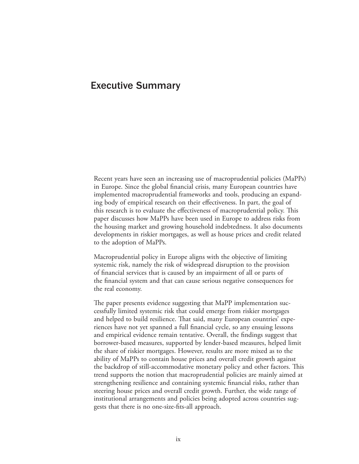### Executive Summary

Recent years have seen an increasing use of macroprudential policies (MaPPs) in Europe. Since the global financial crisis, many European countries have implemented macroprudential frameworks and tools, producing an expanding body of empirical research on their effectiveness. In part, the goal of this research is to evaluate the effectiveness of macroprudential policy. This paper discusses how MaPPs have been used in Europe to address risks from the housing market and growing household indebtedness. It also documents developments in riskier mortgages, as well as house prices and credit related to the adoption of MaPPs.

Macroprudential policy in Europe aligns with the objective of limiting systemic risk, namely the risk of widespread disruption to the provision of financial services that is caused by an impairment of all or parts of the financial system and that can cause serious negative consequences for the real economy.

The paper presents evidence suggesting that MaPP implementation successfully limited systemic risk that could emerge from riskier mortgages and helped to build resilience. That said, many European countries' experiences have not yet spanned a full financial cycle, so any ensuing lessons and empirical evidence remain tentative. Overall, the findings suggest that borrower-based measures, supported by lender-based measures, helped limit the share of riskier mortgages. However, results are more mixed as to the ability of MaPPs to contain house prices and overall credit growth against the backdrop of still-accommodative monetary policy and other factors. This trend supports the notion that macroprudential policies are mainly aimed at strengthening resilience and containing systemic financial risks, rather than steering house prices and overall credit growth. Further, the wide range of institutional arrangements and policies being adopted across countries suggests that there is no one-size-fits-all approach.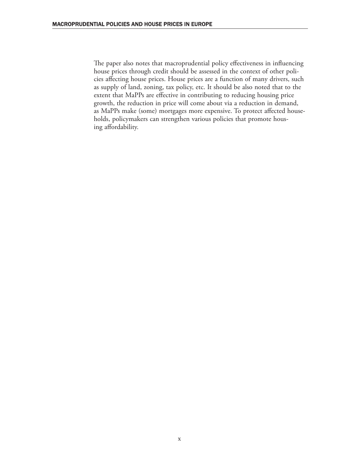The paper also notes that macroprudential policy effectiveness in influencing house prices through credit should be assessed in the context of other policies affecting house prices. House prices are a function of many drivers, such as supply of land, zoning, tax policy, etc. It should be also noted that to the extent that MaPPs are effective in contributing to reducing housing price growth, the reduction in price will come about via a reduction in demand, as MaPPs make (some) mortgages more expensive. To protect affected households, policymakers can strengthen various policies that promote housing affordability.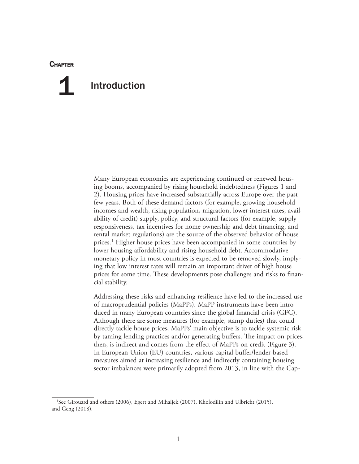#### **CHAPTER**

## Introduction 1

Many European economies are experiencing continued or renewed housing booms, accompanied by rising household indebtedness (Figures 1 and 2). Housing prices have increased substantially across Europe over the past few years. Both of these demand factors (for example, growing household incomes and wealth, rising population, migration, lower interest rates, availability of credit) supply, policy, and structural factors (for example, supply responsiveness, tax incentives for home ownership and debt financing, and rental market regulations) are the source of the observed behavior of house prices.<sup>1</sup> Higher house prices have been accompanied in some countries by lower housing affordability and rising household debt. Accommodative monetary policy in most countries is expected to be removed slowly, implying that low interest rates will remain an important driver of high house prices for some time. These developments pose challenges and risks to financial stability.

Addressing these risks and enhancing resilience have led to the increased use of macroprudential policies (MaPPs). MaPP instruments have been introduced in many European countries since the global financial crisis (GFC). Although there are some measures (for example, stamp duties) that could directly tackle house prices, MaPPs' main objective is to tackle systemic risk by taming lending practices and/or generating buffers. The impact on prices, then, is indirect and comes from the effect of MaPPs on credit (Figure 3). In European Union (EU) countries, various capital buffer/lender-based measures aimed at increasing resilience and indirectly containing housing sector imbalances were primarily adopted from 2013, in line with the Cap-

<sup>1</sup>See Girouard and others (2006), Egert and Mihaljek (2007), Kholodilin and Ulbricht (2015), and Geng (2018).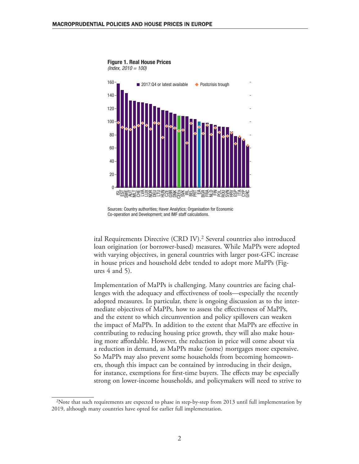





Sources: Country authorities; Haver Analytics; Organisation for Economic Co-operation and Development; and IMF staff calculations.

ital Requirements Directive (CRD IV).<sup>2</sup> Several countries also introduced loan origination (or borrower-based) measures. While MaPPs were adopted with varying objectives, in general countries with larger post-GFC increase in house prices and household debt tended to adopt more MaPPs (Figures  $4$  and  $5$ ).

Implementation of MaPPs is challenging. Many countries are facing challenges with the adequacy and effectiveness of tools—especially the recently adopted measures. In particular, there is ongoing discussion as to the intermediate objectives of MaPPs, how to assess the effectiveness of MaPPs, and the extent to which circumvention and policy spillovers can weaken the impact of MaPPs. In addition to the extent that MaPPs are effective in contributing to reducing housing price growth, they will also make housing more affordable. However, the reduction in price will come about via a reduction in demand, as MaPPs make (some) mortgages more expensive. So MaPPs may also prevent some households from becoming homeowners, though this impact can be contained by introducing in their design, for instance, exemptions for first-time buyers. The effects may be especially strong on lower-income households, and policymakers will need to strive to

 $2$ Note that such requirements are expected to phase in step-by-step from 2013 until full implementation by 2019, although many countries have opted for earlier full implementation.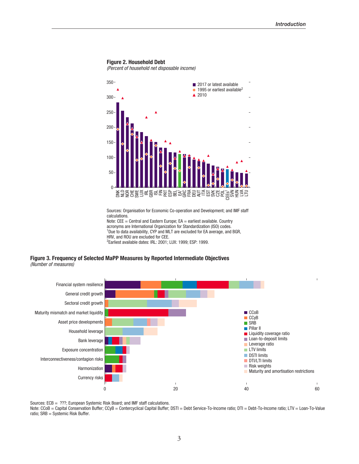#### Figure 2. Household Debt

(Percent of household net disposable income)



Sources: Organisation for Economic Co-operation and Development; and IMF staff calculations.

Note:  $CEE =$  Central and Eastern Europe;  $EA =$  earliest available. Country acronyms are International Organization for Standardization (ISO) codes. <sup>1</sup>Due to data availability, CYP and MLT are excluded for EA average, and BGR, HRV, and ROU are excluded for CEE. 2 Earliest available dates: IRL: 2001; LUX: 1999; ESP: 1999.

Figure 3. Frequency of Selected MaPP Measures by Reported Intermediate Objectives (Number of measures)



Sources: ECB = ???; European Systemic Risk Board; and IMF staff calculations.

Note: CCoB = Capital Conservation Buffer; CCyB = Contercyclical Capital Buffer; DSTI = Debt Service-To-Income ratio; DTI = Debt-To-Income ratio; LTV = Loan-To-Value ratio; SRB = Systemic Risk Buffer.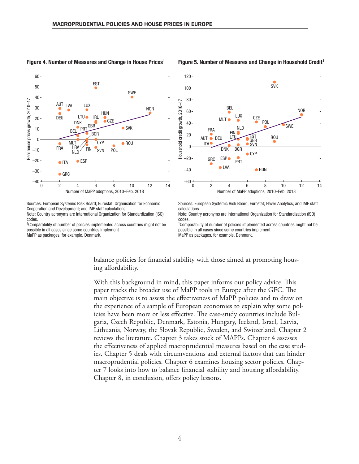

#### Figure 4. Number of Measures and Change in House Prices1

#### Figure 5. Number of Measures and Change in Household Credit<sup>1</sup>



Sources: European Systemic Risk Board; Eurostat; Organisation for Economic Cooperation and Development; and IMF staff calculations. Note: Country acronyms are International Organization for Standardization (ISO) codes.

<sup>1</sup>Comparability of number of policies implemented across countries might not be possible in all cases since some countries implement MaPP as packages, for example, Denmark.

Sources: European Systemic Risk Board; Eurostat; Haver Analytics; and IMF staff calculations.

Note: Country acronyms are International Organization for Standardization (ISO) codes.

<sup>1</sup>Comparability of number of policies implemented across countries might not be possible in all cases since some countries implement MaPP as packages, for example, Denmark.

balance policies for financial stability with those aimed at promoting housing affordability.

With this background in mind, this paper informs our policy advice. This paper tracks the broader use of MaPP tools in Europe after the GFC. The main objective is to assess the effectiveness of MaPP policies and to draw on the experience of a sample of European economies to explain why some policies have been more or less effective. The case-study countries include Bulgaria, Czech Republic, Denmark, Estonia, Hungary, Iceland, Israel, Latvia, Lithuania, Norway, the Slovak Republic, Sweden, and Switzerland. Chapter 2 reviews the literature. Chapter 3 takes stock of MAPPs. Chapter 4 assesses the effectiveness of applied macroprudential measures based on the case studies. Chapter 5 deals with circumventions and external factors that can hinder macroprudential policies. Chapter 6 examines housing sector policies. Chapter 7 looks into how to balance financial stability and housing affordability. Chapter 8, in conclusion, offers policy lessons.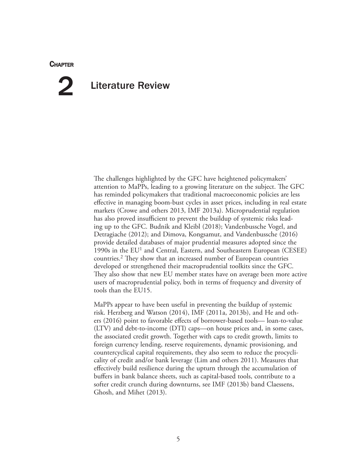#### **CHAPTER**

## Literature Review 2

The challenges highlighted by the GFC have heightened policymakers' attention to MaPPs, leading to a growing literature on the subject. The GFC has reminded policymakers that traditional macroeconomic policies are less effective in managing boom-bust cycles in asset prices, including in real estate markets (Crowe and others 2013, IMF 2013a). Microprudential regulation has also proved insufficient to prevent the buildup of systemic risks leading up to the GFC. Budnik and Kleibl (2018); Vandenbussche Vogel, and Detragiache (2012); and Dimova, Kongsamut, and Vandenbussche (2016) provide detailed databases of major prudential measures adopted since the 1990s in the EU1 and Central, Eastern, and Southeastern European (CESEE) countries.2 They show that an increased number of European countries developed or strengthened their macroprudential toolkits since the GFC. They also show that new EU member states have on average been more active users of macroprudential policy, both in terms of frequency and diversity of tools than the EU15.

MaPPs appear to have been useful in preventing the buildup of systemic risk. Herzberg and Watson (2014), IMF (2011a, 2013b), and He and others (2016) point to favorable effects of borrower-based tools— loan-to-value (LTV) and debt-to-income (DTI) caps—on house prices and, in some cases, the associated credit growth. Together with caps to credit growth, limits to foreign currency lending, reserve requirements, dynamic provisioning, and countercyclical capital requirements, they also seem to reduce the procyclicality of credit and/or bank leverage (Lim and others 2011). Measures that effectively build resilience during the upturn through the accumulation of buffers in bank balance sheets, such as capital-based tools, contribute to a softer credit crunch during downturns, see IMF (2013b) band Claessens, Ghosh, and Mihet (2013).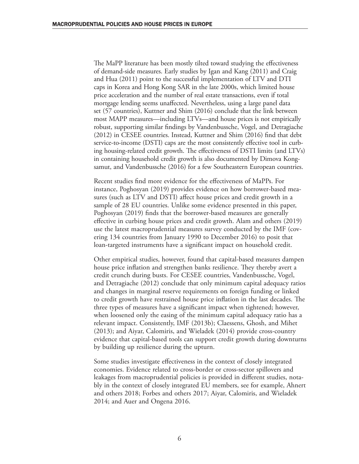The MaPP literature has been mostly tilted toward studying the effectiveness of demand-side measures. Early studies by Igan and Kang (2011) and Craig and Hua (2011) point to the successful implementation of LTV and DTI caps in Korea and Hong Kong SAR in the late 2000s, which limited house price acceleration and the number of real estate transactions, even if total mortgage lending seems unaffected. Nevertheless, using a large panel data set (57 countries), Kuttner and Shim (2016) conclude that the link between most MAPP measures—including LTVs—and house prices is not empirically robust, supporting similar findings by Vandenbussche, Vogel, and Detragiache (2012) in CESEE countries. Instead, Kuttner and Shim (2016) find that debt service-to-income (DSTI) caps are the most consistently effective tool in curbing housing-related credit growth. The effectiveness of DSTI limits (and LTVs) in containing household credit growth is also documented by Dimova Kongsamut, and Vandenbussche (2016) for a few Southeastern European countries.

Recent studies find more evidence for the effectiveness of MaPPs. For instance, Poghosyan (2019) provides evidence on how borrower-based measures (such as LTV and DSTI) affect house prices and credit growth in a sample of 28 EU countries. Unlike some evidence presented in this paper, Poghosyan (2019) finds that the borrower-based measures are generally effective in curbing house prices and credit growth. Alam and others (2019) use the latest macroprudential measures survey conducted by the IMF (covering 134 countries from January 1990 to December 2016) to posit that loan-targeted instruments have a significant impact on household credit.

Other empirical studies, however, found that capital-based measures dampen house price inflation and strengthen banks resilience. They thereby avert a credit crunch during busts. For CESEE countries, Vandenbussche, Vogel, and Detragiache (2012) conclude that only minimum capital adequacy ratios and changes in marginal reserve requirements on foreign funding or linked to credit growth have restrained house price inflation in the last decades. The three types of measures have a significant impact when tightened; however, when loosened only the easing of the minimum capital adequacy ratio has a relevant impact. Consistently, IMF (2013b); Claessens, Ghosh, and Mihet (2013); and Aiyar, Calomiris, and Wieladek (2014) provide cross-country evidence that capital-based tools can support credit growth during downturns by building up resilience during the upturn.

Some studies investigate effectiveness in the context of closely integrated economies. Evidence related to cross-border or cross-sector spillovers and leakages from macroprudential policies is provided in different studies, notably in the context of closely integrated EU members, see for example, Ahnert and others 2018; Forbes and others 2017; Aiyar, Calomiris, and Wieladek 2014; and Auer and Ongena 2016.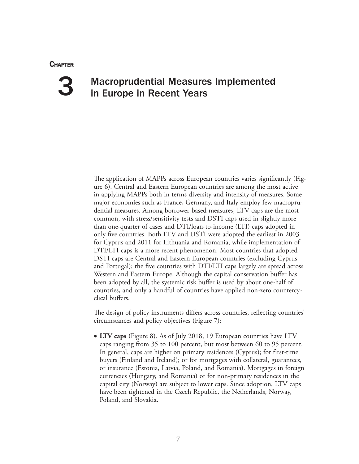#### **CHAPTER**

## 3

## Macroprudential Measures Implemented in Europe in Recent Years

The application of MAPPs across European countries varies significantly (Figure 6). Central and Eastern European countries are among the most active in applying MAPPs both in terms diversity and intensity of measures. Some major economies such as France, Germany, and Italy employ few macroprudential measures. Among borrower-based measures, LTV caps are the most common, with stress/sensitivity tests and DSTI caps used in slightly more than one-quarter of cases and DTI/loan-to-income (LTI) caps adopted in only five countries. Both LTV and DSTI were adopted the earliest in 2003 for Cyprus and 2011 for Lithuania and Romania, while implementation of DTI/LTI caps is a more recent phenomenon. Most countries that adopted DSTI caps are Central and Eastern European countries (excluding Cyprus and Portugal); the five countries with DTI/LTI caps largely are spread across Western and Eastern Europe. Although the capital conservation buffer has been adopted by all, the systemic risk buffer is used by about one-half of countries, and only a handful of countries have applied non-zero countercyclical buffers.

The design of policy instruments differs across countries, reflecting countries' circumstances and policy objectives (Figure 7):

• **LTV caps** (Figure 8). As of July 2018, 19 European countries have LTV caps ranging from 35 to 100 percent, but most between 60 to 95 percent. In general, caps are higher on primary residences (Cyprus); for first-time buyers (Finland and Ireland); or for mortgages with collateral, guarantees, or insurance (Estonia, Latvia, Poland, and Romania). Mortgages in foreign currencies (Hungary, and Romania) or for non-primary residences in the capital city (Norway) are subject to lower caps. Since adoption, LTV caps have been tightened in the Czech Republic, the Netherlands, Norway, Poland, and Slovakia.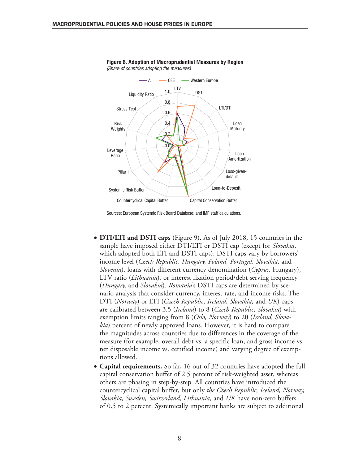

Figure 6. Adoption of Macroprudential Measures by Region (Share of countries adopting the measures)

Sources: European Systemic Risk Board Database; and IMF staff calculations.

- **DTI/LTI and DSTI caps** (Figure 9). As of July 2018, 15 countries in the sample have imposed either DTI/LTI or DSTI cap (except for *Slovakia*, which adopted both LTI and DSTI caps). DSTI caps vary by borrowers' income level (*Czech Republic, Hungary, Poland, Portugal, Slovakia,* and *Slovenia*), loans with different currency denomination (*Cyprus,* Hungary), LTV ratio (*Lithuania*), or interest fixation period/debt serving frequency (*Hungary,* and *Slovakia*). *Romania*'s DSTI caps are determined by scenario analysis that consider currency, interest rate, and income risks. The DTI (*Norway*) or LTI (*Czech Republic, Ireland, Slovakia,* and *UK*) caps are calibrated between 3.5 (*Ireland*) to 8 (*Czech Republic, Slovakia*) with exemption limits ranging from 8 (*Oslo, Norway*) to 20 (*Ireland, Slovakia*) percent of newly approved loans. However, it is hard to compare the magnitudes across countries due to differences in the coverage of the measure (for example, overall debt vs. a specific loan, and gross income vs. net disposable income vs. certified income) and varying degree of exemptions allowed.
- **Capital requirements.** So far, 16 out of 32 countries have adopted the full capital conservation buffer of 2.5 percent of risk-weighted asset, whereas others are phasing in step-by-step. All countries have introduced the countercyclical capital buffer, but only *the Czech Republic, Iceland, Norway, Slovakia, Sweden, Switzerland, Lithuania,* and *UK* have non-zero buffers of 0.5 to 2 percent. Systemically important banks are subject to additional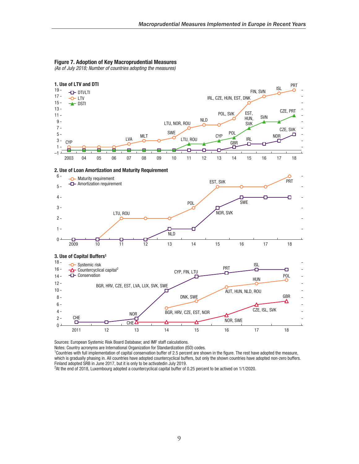#### Figure 7. Adoption of Key Macroprudential Measures

(As of July 2018; Number of countries adopting the measures)



Sources: European Systemic Risk Board Database; and IMF staff calculations.

Notes: Country acronyms are International Organization for Standardization (ISO) codes.

1 Countries with full implementation of capital conservation buffer of 2.5 percent are shown in the figure. The rest have adopted the measure, which is gradually phasing in. All countries have adopted countercyclical buffers, but only the shown countries have adopted non-zero buffers. Finland adopted SRB in June 2017, but it is only to be activatedin July 2019.

2 At the end of 2018, Luxembourg adopted a countercyclical capital buffer of 0.25 percent to be actived on 1/1/2020.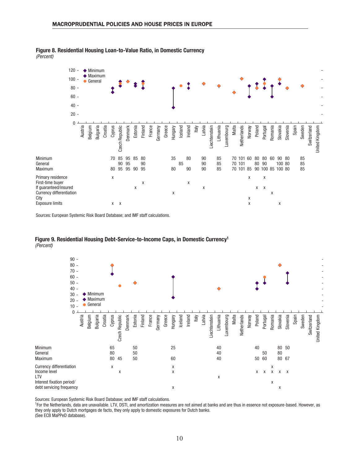

#### Figure 8. Residential Housing Loan-to-Value Ratio, in Domestic Currency (Percent)

Sources: European Systemic Risk Board Database; and IMF staff calculations.

#### Figure 9. Residential Housing Debt-Service-to-Income Caps, in Domestic Currency1 (Percent)



Sources: European Systemic Risk Board Database; and IMF staff calculations.<br><sup>1</sup>For the Netherlands, data are unavailable. LTV, DSTI, and amortization measures are not aimed at banks and are thus in essence not exposure-bas they only apply to Dutch mortgages de facto, they only apply to domestic exposures for Dutch banks. (See ECB MaPPeD database).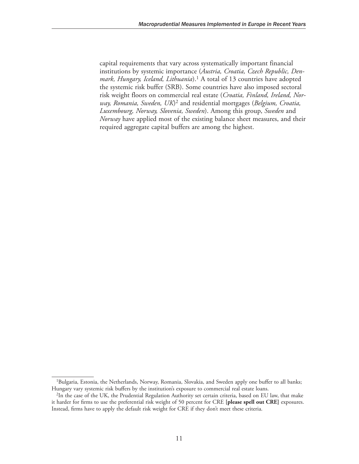capital requirements that vary across systematically important financial institutions by systemic importance (*Austria, Croatia, Czech Republic, Denmark, Hungary, Iceland, Lithuania*).1 A total of 13 countries have adopted the systemic risk buffer (SRB). Some countries have also imposed sectoral risk weight floors on commercial real estate (*Croatia, Finland, Ireland, Norway, Romania, Sweden, UK*)2 and residential mortgages (*Belgium, Croatia, Luxembourg, Norway, Slovenia, Sweden*). Among this group, *Sweden* and *Norway* have applied most of the existing balance sheet measures, and their required aggregate capital buffers are among the highest.

<sup>&</sup>lt;sup>1</sup>Bulgaria, Estonia, the Netherlands, Norway, Romania, Slovakia, and Sweden apply one buffer to all banks; Hungary vary systemic risk buffers by the institution's exposure to commercial real estate loans.

<sup>2</sup>In the case of the UK, the Prudential Regulation Authority set certain criteria, based on EU law, that make it harder for firms to use the preferential risk weight of 50 percent for CRE **[please spell out CRE]** exposures. Instead, firms have to apply the default risk weight for CRE if they don't meet these criteria.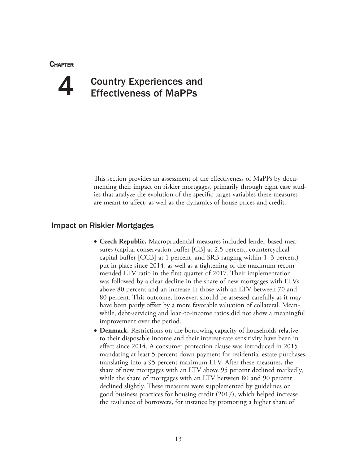**CHAPTER** 

# 4

## Country Experiences and Effectiveness of MaPPs

This section provides an assessment of the effectiveness of MaPPs by documenting their impact on riskier mortgages, primarily through eight case studies that analyze the evolution of the specific target variables these measures are meant to affect, as well as the dynamics of house prices and credit.

#### Impact on Riskier Mortgages

- **Czech Republic.** Macroprudential measures included lender-based measures (capital conservation buffer [CB] at 2.5 percent, countercyclical capital buffer [CCB] at 1 percent, and SRB ranging within 1–3 percent) put in place since 2014, as well as a tightening of the maximum recommended LTV ratio in the first quarter of 2017. Their implementation was followed by a clear decline in the share of new mortgages with LTVs above 80 percent and an increase in those with an LTV between 70 and 80 percent. This outcome, however, should be assessed carefully as it may have been partly offset by a more favorable valuation of collateral. Meanwhile, debt-servicing and loan-to-income ratios did not show a meaningful improvement over the period.
- **Denmark.** Restrictions on the borrowing capacity of households relative to their disposable income and their interest-rate sensitivity have been in effect since 2014. A consumer protection clause was introduced in 2015 mandating at least 5 percent down payment for residential estate purchases, translating into a 95 percent maximum LTV. After these measures, the share of new mortgages with an LTV above 95 percent declined markedly, while the share of mortgages with an LTV between 80 and 90 percent declined slightly. These measures were supplemented by guidelines on good business practices for housing credit (2017), which helped increase the resilience of borrowers, for instance by promoting a higher share of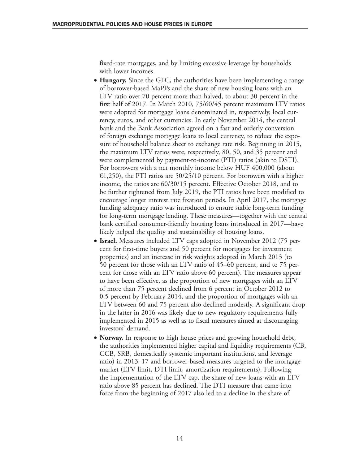fixed-rate mortgages, and by limiting excessive leverage by households with lower incomes.

- **Hungary.** Since the GFC, the authorities have been implementing a range of borrower-based MaPPs and the share of new housing loans with an LTV ratio over 70 percent more than halved, to about 30 percent in the first half of 2017. In March 2010, 75/60/45 percent maximum LTV ratios were adopted for mortgage loans denominated in, respectively, local currency, euros, and other currencies. In early November 2014, the central bank and the Bank Association agreed on a fast and orderly conversion of foreign exchange mortgage loans to local currency, to reduce the exposure of household balance sheet to exchange rate risk. Beginning in 2015, the maximum LTV ratios were, respectively, 80, 50, and 35 percent and were complemented by payment-to-income (PTI) ratios (akin to DSTI). For borrowers with a net monthly income below HUF 400,000 (about  $\epsilon$ 1,250), the PTI ratios are 50/25/10 percent. For borrowers with a higher income, the ratios are 60/30/15 percent. Effective October 2018, and to be further tightened from July 2019, the PTI ratios have been modified to encourage longer interest rate fixation periods. In April 2017, the mortgage funding adequacy ratio was introduced to ensure stable long-term funding for long-term mortgage lending. These measures—together with the central bank certified consumer-friendly housing loans introduced in 2017—have likely helped the quality and sustainability of housing loans.
- **Israel.** Measures included LTV caps adopted in November 2012 (75 percent for first-time buyers and 50 percent for mortgages for investment properties) and an increase in risk weights adopted in March 2013 (to 50 percent for those with an LTV ratio of 45–60 percent, and to 75 percent for those with an LTV ratio above 60 percent). The measures appear to have been effective, as the proportion of new mortgages with an LTV of more than 75 percent declined from 6 percent in October 2012 to 0.5 percent by February 2014, and the proportion of mortgages with an LTV between 60 and 75 percent also declined modestly. A significant drop in the latter in 2016 was likely due to new regulatory requirements fully implemented in 2015 as well as to fiscal measures aimed at discouraging investors' demand.
- **Norway.** In response to high house prices and growing household debt, the authorities implemented higher capital and liquidity requirements (CB, CCB, SRB, domestically systemic important institutions, and leverage ratio) in 2013–17 and borrower-based measures targeted to the mortgage market (LTV limit, DTI limit, amortization requirements). Following the implementation of the LTV cap, the share of new loans with an LTV ratio above 85 percent has declined. The DTI measure that came into force from the beginning of 2017 also led to a decline in the share of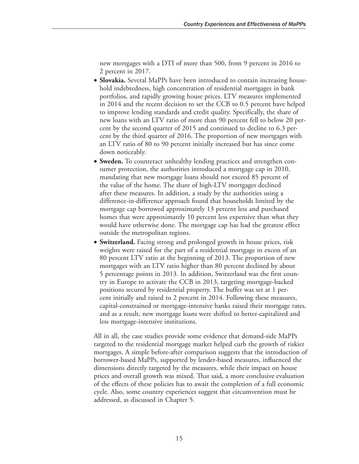new mortgages with a DTI of more than 500, from 9 percent in 2016 to 2 percent in 2017.

- **Slovakia.** Several MaPPs have been introduced to contain increasing household indebtedness, high concentration of residential mortgages in bank portfolios, and rapidly growing house prices. LTV measures implemented in 2014 and the recent decision to set the CCB to 0.5 percent have helped to improve lending standards and credit quality. Specifically, the share of new loans with an LTV ratio of more than 90 percent fell to below 20 percent by the second quarter of 2015 and continued to decline to 6.3 percent by the third quarter of 2016. The proportion of new mortgages with an LTV ratio of 80 to 90 percent initially increased but has since come down noticeably.
- **Sweden.** To counteract unhealthy lending practices and strengthen consumer protection, the authorities introduced a mortgage cap in 2010, mandating that new mortgage loans should not exceed 85 percent of the value of the home. The share of high-LTV mortgages declined after these measures. In addition, a study by the authorities using a difference-in-difference approach found that households limited by the mortgage cap borrowed approximately 13 percent less and purchased homes that were approximately 10 percent less expensive than what they would have otherwise done. The mortgage cap has had the greatest effect outside the metropolitan regions.
- **Switzerland.** Facing strong and prolonged growth in house prices, risk weights were raised for the part of a residential mortgage in excess of an 80 percent LTV ratio at the beginning of 2013. The proportion of new mortgages with an LTV ratio higher than 80 percent declined by about 5 percentage points in 2013. In addition, Switzerland was the first country in Europe to activate the CCB in 2013, targeting mortgage-backed positions secured by residential property. The buffer was set at 1 percent initially and raised to 2 percent in 2014. Following these measures, capital-constrained or mortgage-intensive banks raised their mortgage rates, and as a result, new mortgage loans were shifted to better-capitalized and less mortgage-intensive institutions.

All in all, the case studies provide some evidence that demand-side MaPPs targeted to the residential mortgage market helped curb the growth of riskier mortgages. A simple before-after comparison suggests that the introduction of borrower-based MaPPs, supported by lender-based measures, influenced the dimensions directly targeted by the measures, while their impact on house prices and overall growth was mixed. That said, a more conclusive evaluation of the effects of these policies has to await the completion of a full economic cycle. Also, some country experiences suggest that circumvention must be addressed, as discussed in Chapter 5.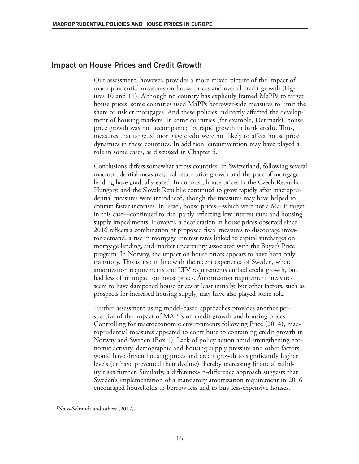#### Impact on House Prices and Credit Growth

Our assessment, however, provides a more mixed picture of the impact of macroprudential measures on house prices and overall credit growth (Figures 10 and 11). Although no country has explicitly framed MaPPs to target house prices, some countries used MaPPs borrower-side measures to limit the share or riskier mortgages. And these policies indirectly affected the development of housing markets. In some countries (for example, Denmark), house price growth was not accompanied by rapid growth in bank credit. Thus, measures that targeted mortgage credit were not likely to affect house price dynamics in these countries. In addition, circumvention may have played a role in some cases, as discussed in Chapter 5.

Conclusions differs somewhat across countries. In Switzerland, following several macroprudential measures, real estate price growth and the pace of mortgage lending have gradually eased. In contrast, house prices in the Czech Republic, Hungary, and the Slovak Republic continued to grow rapidly after macroprudential measures were introduced, though the measures may have helped to contain faster increases. In Israel, house prices—which were not a MaPP target in this case—continued to rise, partly reflecting low interest rates and housing supply impediments. However, a deceleration in house prices observed since 2016 reflects a combination of proposed fiscal measures to discourage investor demand, a rise in mortgage interest rates linked to capital surcharges on mortgage lending, and market uncertainty associated with the Buyer's Price program. In Norway, the impact on house prices appears to have been only transitory. This is also in line with the recent experience of Sweden, where amortization requirements and LTV requirements curbed credit growth, but had less of an impact on house prices. Amortization requirement measures seem to have dampened house prices at least initially, but other factors, such as prospects for increased housing supply, may have also played some role.<sup>1</sup>

Further assessment using model-based approaches provides another perspective of the impact of MAPPs on credit growth and housing prices. Controlling for macroeconomic environments following Price (2014), macroprudential measures appeared to contribute to containing credit growth in Norway and Sweden (Box 1). Lack of policy action amid strengthening economic activity, demographic and housing supply pressure and other factors would have driven housing prices and credit growth to significantly higher levels (or have prevented their decline) thereby increasing financial stability risks further. Similarly, a difference-in-difference approach suggests that Sweden's implementation of a mandatory amortization requirement in 2016 encouraged households to borrow less and to buy less-expensive houses.

<sup>1</sup>Næss-Schmidt and others (2017).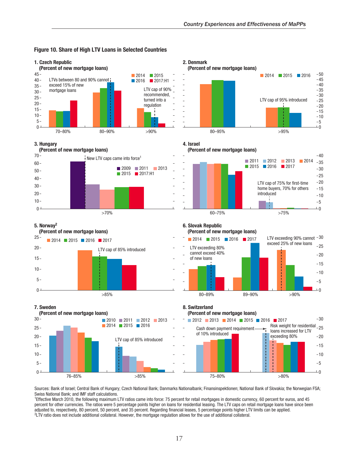

#### Figure 10. Share of High LTV Loans in Selected Countries

Sources: Bank of Israel; Central Bank of Hungary; Czech National Bank; Danmarks Nationalbank; Finansinspektionen; National Bank of Slovakia; the Norwegian FSA: Swiss National Bank; and IMF staff calculations.

<sup>1</sup>Effective March 2010, the following maximum LTV ratios came into force: 75 percent for retail mortgages in domestic currency, 60 percent for euros, and 45 percent for other currencies. The ratios were 5 percentage points higher on loans for residential leasing. The LTV caps on retail mortgage loans have since been adjusted to, respectively, 80 percent, 50 percent, and 35 percent. Regarding financial leases, 5 percentage points higher LTV limits can be applied. <sup>2</sup> LTV ratio does not include additional collateral. However, the mortgage regulation allows for the use of additional collateral.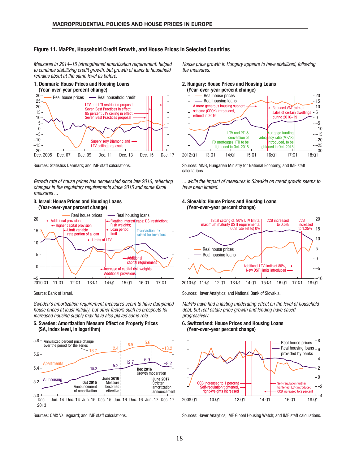#### Figure 11. MaPPs, Household Credit Growth, and House Prices in Selected Countries

Measures in 2014–15 (strengthened amortization requirement) helped to continue stabilizing credit growth, but growth of loans to household remains about at the same level as before.





Sources: Statistics Denmark; and IMF staff calculations.

Growth rate of house prices has decelerated since late 2016, reflecting changes in the regulatory requirements since 2015 and some fiscal measures ...

#### 3. Israel: House Prices and Housing Loans (Year-over-year percent change)



Sweden's amortization requirement measures seem to have dampened house prices at least initially, but other factors such as prospects for increased housing supply may have also played some role.

#### 5. Sweden: Amortization Measure Effect on Property Prices (SA, index level, in logarithm)



Sources: OMX Valueguard; and IMF staff calculations.

House price growth in Hungary appears to have stabilized, following the measures.

#### 2. Hungary: House Prices and Housing Loans



Sources: MNB, Hungarian Ministry for National Economy; and IMF staff calculations.

... while the impact of measures in Slovakia on credit growth seems to have been limited.

#### 4. Slovakia: House Prices and Housing Loans (Year-over-year percent change)



Source: Bank of Israel. Sources: Haver Analytics; and National Bank of Slovakia.

MaPPs have had a lasting moderating effect on the level of household debt, but real estate price growth and lending have eased progressively.

#### 6. Switzerland: House Prices and Housing Loans (Year-over-year percent change)



Sources: Haver Analytics; IMF Global Housing Watch; and IMF staff calculations.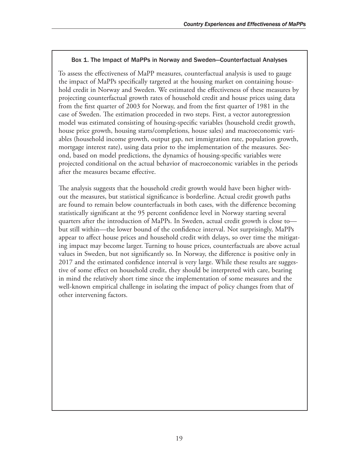#### Box 1. The Impact of MaPPs in Norway and Sweden—Counterfactual Analyses

To assess the effectiveness of MaPP measures, counterfactual analysis is used to gauge the impact of MaPPs specifically targeted at the housing market on containing household credit in Norway and Sweden. We estimated the effectiveness of these measures by projecting counterfactual growth rates of household credit and house prices using data from the first quarter of 2003 for Norway, and from the first quarter of 1981 in the case of Sweden. The estimation proceeded in two steps. First, a vector autoregression model was estimated consisting of housing-specific variables (household credit growth, house price growth, housing starts/completions, house sales) and macroeconomic variables (household income growth, output gap, net immigration rate, population growth, mortgage interest rate), using data prior to the implementation of the measures. Second, based on model predictions, the dynamics of housing-specific variables were projected conditional on the actual behavior of macroeconomic variables in the periods after the measures became effective.

The analysis suggests that the household credit growth would have been higher without the measures, but statistical significance is borderline. Actual credit growth paths are found to remain below counterfactuals in both cases, with the difference becoming statistically significant at the 95 percent confidence level in Norway starting several quarters after the introduction of MaPPs. In Sweden, actual credit growth is close to but still within—the lower bound of the confidence interval. Not surprisingly, MaPPs appear to affect house prices and household credit with delays, so over time the mitigating impact may become larger. Turning to house prices, counterfactuals are above actual values in Sweden, but not significantly so. In Norway, the difference is positive only in 2017 and the estimated confidence interval is very large. While these results are suggestive of some effect on household credit, they should be interpreted with care, bearing in mind the relatively short time since the implementation of some measures and the well-known empirical challenge in isolating the impact of policy changes from that of other intervening factors.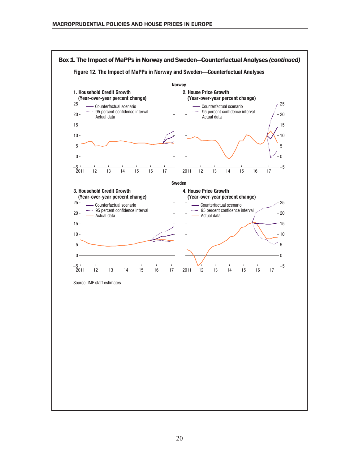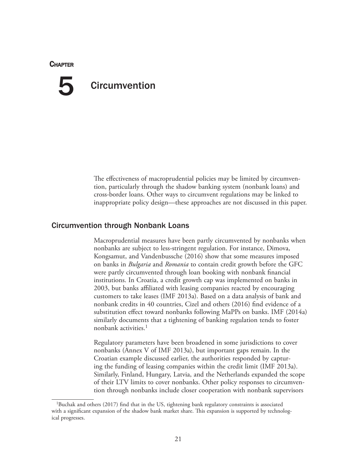#### **CHAPTER**

## **Circumvention** 5

The effectiveness of macroprudential policies may be limited by circumvention, particularly through the shadow banking system (nonbank loans) and cross-border loans. Other ways to circumvent regulations may be linked to inappropriate policy design—these approaches are not discussed in this paper.

#### Circumvention through Nonbank Loans

Macroprudential measures have been partly circumvented by nonbanks when nonbanks are subject to less-stringent regulation. For instance, Dimova, Kongsamut, and Vandenbussche (2016) show that some measures imposed on banks in *Bulgaria* and *Romania* to contain credit growth before the GFC were partly circumvented through loan booking with nonbank financial institutions. In Croatia, a credit growth cap was implemented on banks in 2003, but banks affiliated with leasing companies reacted by encouraging customers to take leases (IMF 2013a). Based on a data analysis of bank and nonbank credits in 40 countries, Cizel and others (2016) find evidence of a substitution effect toward nonbanks following MaPPs on banks. IMF (2014a) similarly documents that a tightening of banking regulation tends to foster nonbank activities.1

Regulatory parameters have been broadened in some jurisdictions to cover nonbanks (Annex V of IMF 2013a), but important gaps remain. In the Croatian example discussed earlier, the authorities responded by capturing the funding of leasing companies within the credit limit (IMF 2013a). Similarly, Finland, Hungary, Latvia, and the Netherlands expanded the scope of their LTV limits to cover nonbanks. Other policy responses to circumvention through nonbanks include closer cooperation with nonbank supervisors

<sup>&</sup>lt;sup>1</sup>Buchak and others (2017) find that in the US, tightening bank regulatory constraints is associated with a significant expansion of the shadow bank market share. This expansion is supported by technological progresses.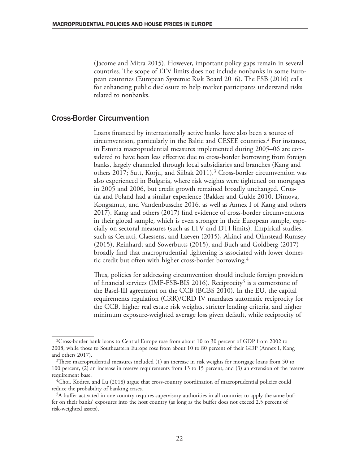(Jacome and Mitra 2015). However, important policy gaps remain in several countries. The scope of LTV limits does not include nonbanks in some European countries (European Systemic Risk Board 2016). The FSB (2016) calls for enhancing public disclosure to help market participants understand risks related to nonbanks.

#### Cross-Border Circumvention

Loans financed by internationally active banks have also been a source of circumvention, particularly in the Baltic and CESEE countries.2 For instance, in Estonia macroprudential measures implemented during 2005–06 are considered to have been less effective due to cross-border borrowing from foreign banks, largely channeled through local subsidiaries and branches (Kang and others 2017; Sutt, Korju, and Siibak 2011).<sup>3</sup> Cross-border circumvention was also experienced in Bulgaria, where risk weights were tightened on mortgages in 2005 and 2006, but credit growth remained broadly unchanged. Croatia and Poland had a similar experience (Bakker and Gulde 2010, Dimova, Kongsamut, and Vandenbussche 2016, as well as Annex I of Kang and others 2017). Kang and others (2017) find evidence of cross-border circumventions in their global sample, which is even stronger in their European sample, especially on sectoral measures (such as LTV and DTI limits). Empirical studies, such as Cerutti, Claessens, and Laeven (2015), Akinci and Olmstead-Rumsey (2015), Reinhardt and Sowerbutts (2015), and Buch and Goldberg (2017) broadly find that macroprudential tightening is associated with lower domestic credit but often with higher cross-border borrowing.4

Thus, policies for addressing circumvention should include foreign providers of financial services (IMF-FSB-BIS 2016). Reciprocity<sup>5</sup> is a cornerstone of the Basel-III agreement on the CCB (BCBS 2010). In the EU, the capital requirements regulation (CRR)/CRD IV mandates automatic reciprocity for the CCB, higher real estate risk weights, stricter lending criteria, and higher minimum exposure-weighted average loss given default, while reciprocity of

<sup>2</sup>Cross-border bank loans to Central Europe rose from about 10 to 30 percent of GDP from 2002 to 2008, while those to Southeastern Europe rose from about 10 to 80 percent of their GDP (Annex I, Kang and others 2017).

 $3$ These macroprudential measures included (1) an increase in risk weights for mortgage loans from 50 to 100 percent, (2) an increase in reserve requirements from 13 to 15 percent, and (3) an extension of the reserve requirement base.

<sup>4</sup>Choi, Kodres, and Lu (2018) argue that cross-country coordination of macroprudential policies could reduce the probability of banking crises.

<sup>5</sup>A buffer activated in one country requires supervisory authorities in all countries to apply the same buffer on their banks' exposures into the host country (as long as the buffer does not exceed 2.5 percent of risk-weighted assets).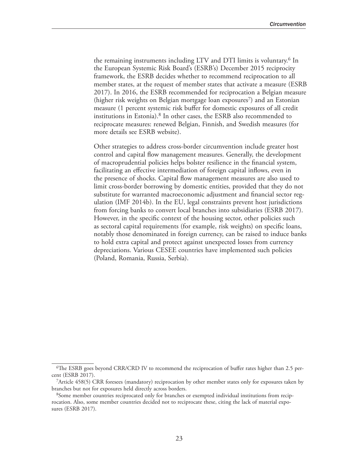the remaining instruments including LTV and DTI limits is voluntary.<sup>6</sup> In the European Systemic Risk Board's (ESRB's) December 2015 reciprocity framework, the ESRB decides whether to recommend reciprocation to all member states, at the request of member states that activate a measure (ESRB 2017). In 2016, the ESRB recommended for reciprocation a Belgian measure (higher risk weights on Belgian mortgage loan exposures<sup>7</sup>) and an Estonian measure (1 percent systemic risk buffer for domestic exposures of all credit institutions in Estonia).8 In other cases, the ESRB also recommended to reciprocate measures: renewed Belgian, Finnish, and Swedish measures (for more details see ESRB website).

Other strategies to address cross-border circumvention include greater host control and capital flow management measures. Generally, the development of macroprudential policies helps bolster resilience in the financial system, facilitating an effective intermediation of foreign capital inflows, even in the presence of shocks. Capital flow management measures are also used to limit cross-border borrowing by domestic entities, provided that they do not substitute for warranted macroeconomic adjustment and financial sector regulation (IMF 2014b). In the EU, legal constraints prevent host jurisdictions from forcing banks to convert local branches into subsidiaries (ESRB 2017). However, in the specific context of the housing sector, other policies such as sectoral capital requirements (for example, risk weights) on specific loans, notably those denominated in foreign currency, can be raised to induce banks to hold extra capital and protect against unexpected losses from currency depreciations. Various CESEE countries have implemented such policies (Poland, Romania, Russia, Serbia).

<sup>6</sup>The ESRB goes beyond CRR/CRD IV to recommend the reciprocation of buffer rates higher than 2.5 percent (ESRB 2017).

<sup>7</sup>Article 458(5) CRR foresees (mandatory) reciprocation by other member states only for exposures taken by branches but not for exposures held directly across borders.

<sup>8</sup>Some member countries reciprocated only for branches or exempted individual institutions from reciprocation. Also, some member countries decided not to reciprocate these, citing the lack of material exposures (ESRB 2017).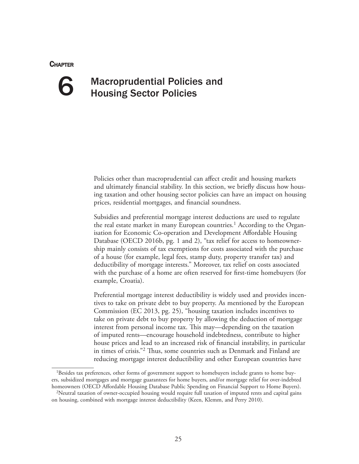#### **CHAPTER**



## Macroprudential Policies and Housing Sector Policies

Policies other than macroprudential can affect credit and housing markets and ultimately financial stability. In this section, we briefly discuss how housing taxation and other housing sector policies can have an impact on housing prices, residential mortgages, and financial soundness.

Subsidies and preferential mortgage interest deductions are used to regulate the real estate market in many European countries.<sup>1</sup> According to the Organisation for Economic Co-operation and Development Affordable Housing Database (OECD 2016b, pg. 1 and 2), "tax relief for access to homeownership mainly consists of tax exemptions for costs associated with the purchase of a house (for example, legal fees, stamp duty, property transfer tax) and deductibility of mortgage interests." Moreover, tax relief on costs associated with the purchase of a home are often reserved for first-time homebuyers (for example, Croatia).

Preferential mortgage interest deductibility is widely used and provides incentives to take on private debt to buy property. As mentioned by the European Commission (EC 2013, pg. 25), "housing taxation includes incentives to take on private debt to buy property by allowing the deduction of mortgage interest from personal income tax. This may—depending on the taxation of imputed rents—encourage household indebtedness, contribute to higher house prices and lead to an increased risk of financial instability, in particular in times of crisis."2 Thus, some countries such as Denmark and Finland are reducing mortgage interest deductibility and other European countries have

<sup>&</sup>lt;sup>1</sup>Besides tax preferences, other forms of government support to homebuyers include grants to home buyers, subsidized mortgages and mortgage guarantees for home buyers, and/or mortgage relief for over-indebted homeowners (OECD Affordable Housing Database Public Spending on Financial Support to Home Buyers).

<sup>2</sup>Neutral taxation of owner-occupied housing would require full taxation of imputed rents and capital gains on housing, combined with mortgage interest deductibility (Keen, Klemm, and Perry 2010).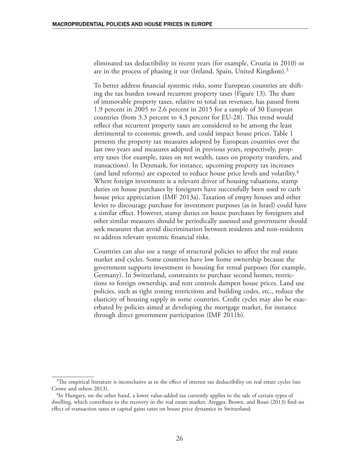eliminated tax deductibility in recent years (for example, Croatia in 2010) or are in the process of phasing it out (Ireland, Spain, United Kingdom).3

To better address financial systemic risks, some European countries are shifting the tax burden toward recurrent property taxes (Figure 13). The share of immovable property taxes, relative to total tax revenues, has passed from 1.9 percent in 2005 to 2.6 percent in 2015 for a sample of 30 European countries (from 3.3 percent to 4.3 percent for EU-28). This trend would reflect that recurrent property taxes are considered to be among the least detrimental to economic growth, and could impact house prices. Table 1 presents the property tax measures adopted by European countries over the last two years and measures adopted in previous years, respectively, property taxes (for example, taxes on net wealth, taxes on property transfers, and transactions). In Denmark, for instance, upcoming property tax increases (and land reforms) are expected to reduce house price levels and volatility.4 Where foreign investment is a relevant driver of housing valuations, stamp duties on house purchases by foreigners have successfully been used to curb house price appreciation (IMF 2013a). Taxation of empty houses and other levies to discourage purchase for investment purposes (as in Israel) could have a similar effect. However, stamp duties on house purchases by foreigners and other similar measures should be periodically assessed and government should seek measures that avoid discrimination between residents and non-residents to address relevant systemic financial risks.

Countries can also use a range of structural policies to affect the real estate market and cycles. Some countries have low home ownership because the government supports investment in housing for rental purposes (for example, Germany). In Switzerland, constraints to purchase second homes, restrictions to foreign ownership, and rent controls dampen house prices. Land use policies, such as tight zoning restrictions and building codes, etc., reduce the elasticity of housing supply in some countries. Credit cycles may also be exacerbated by policies aimed at developing the mortgage market, for instance through direct government participation (IMF 2011b).

 $3$ The empirical literature is inconclusive as to the effect of interest tax deductibility on real estate cycles (see Crowe and others 2013).

<sup>&</sup>lt;sup>4</sup>In Hungary, on the other hand, a lower value-added tax currently applies to the sale of certain types of dwelling, which contribute to the recovery in the real estate market. Aregger, Brown, and Rossi (2013) find no effect of transaction taxes or capital gains taxes on house price dynamics in Switzerland.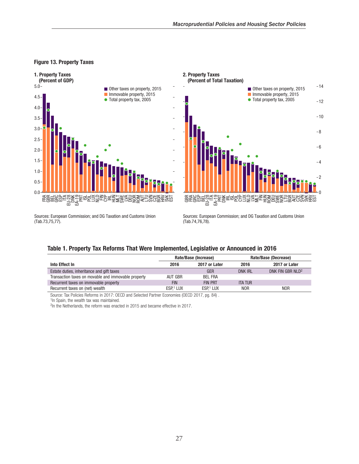#### Figure 13. Property Taxes





Sources: European Commission; and DG Taxation and Customs Union (Tab.73,75,77).

Sources: European Commission; and DG Taxation and Customs Union (Tab.74,76,78).

#### Table 1. Property Tax Reforms That Were Implemented, Legislative or Announced in 2016

|                                                     | Rate/Base (Increase) |                       | Rate/Base (Decrease) |                              |
|-----------------------------------------------------|----------------------|-----------------------|----------------------|------------------------------|
| Into Effect In                                      | 2016                 | 2017 or Later         | 2016                 | 2017 or Later                |
| Estate duties, inheritance and gift taxes           |                      | GER                   | <b>DNK IRL</b>       | DNK FIN GBR NLD <sup>2</sup> |
| Transaction taxes on movable and immovable property | AUT GBR              | <b>BEL FRA</b>        |                      |                              |
| Recurrent taxes on immovable property               | <b>FIN</b>           | <b>FIN PRT</b>        | <b>ITA TUR</b>       |                              |
| Recurrent taxes on (net) wealth                     | ESP.1 LUX            | ESP. <sup>1</sup> LUX | <b>NOR</b>           | N <sub>OR</sub>              |

Source: Tax Policies Reforms in 2017: OECD and Selected Partner Economies (OECD 2017, pg. 84) .

<sup>1</sup>In Spain, the wealth tax was maintained.

<sup>2</sup>In the Netherlands, the reform was enacted in 2015 and became effective in 2017.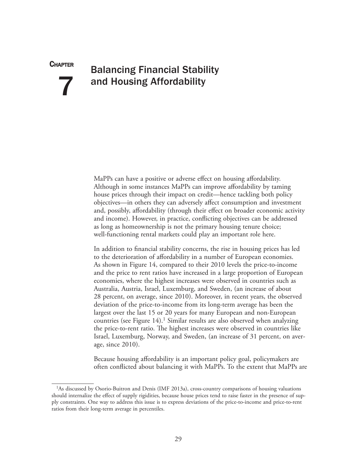**CHAPTER** 

7

## Balancing Financial Stability and Housing Affordability

MaPPs can have a positive or adverse effect on housing affordability. Although in some instances MaPPs can improve affordability by taming house prices through their impact on credit—hence tackling both policy objectives—in others they can adversely affect consumption and investment and, possibly, affordability (through their effect on broader economic activity and income). However, in practice, conflicting objectives can be addressed as long as homeownership is not the primary housing tenure choice; well-functioning rental markets could play an important role here.

In addition to financial stability concerns, the rise in housing prices has led to the deterioration of affordability in a number of European economies. As shown in Figure 14, compared to their 2010 levels the price-to-income and the price to rent ratios have increased in a large proportion of European economies, where the highest increases were observed in countries such as Australia, Austria, Israel, Luxemburg, and Sweden, (an increase of about 28 percent, on average, since 2010). Moreover, in recent years, the observed deviation of the price-to-income from its long-term average has been the largest over the last 15 or 20 years for many European and non-European countries (see Figure 14).<sup>1</sup> Similar results are also observed when analyzing the price-to-rent ratio. The highest increases were observed in countries like Israel, Luxemburg, Norway, and Sweden, (an increase of 31 percent, on average, since 2010).

Because housing affordability is an important policy goal, policymakers are often conflicted about balancing it with MaPPs. To the extent that MaPPs are

<sup>1</sup>As discussed by Osorio-Buitron and Denis (IMF 2013a), cross-country comparisons of housing valuations should internalize the effect of supply rigidities, because house prices tend to raise faster in the presence of supply constraints. One way to address this issue is to express deviations of the price-to-income and price-to-rent ratios from their long-term average in percentiles.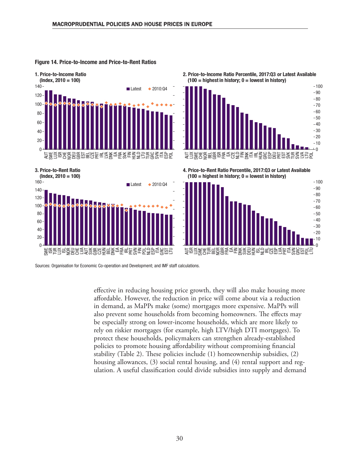

#### Figure 14. Price-to-Income and Price-to-Rent Ratios





4. Price-to-Rent Ratio Percentile, 2017:Q3 or Latest Available  $(100 =$  highest in history;  $0 =$  lowest in history)



3. Price-to-Rent Ratio



Sources: Organisation for Economic Co-operation and Development; and IMF staff calculations.

effective in reducing housing price growth, they will also make housing more affordable. However, the reduction in price will come about via a reduction in demand, as MaPPs make (some) mortgages more expensive. MaPPs will also prevent some households from becoming homeowners. The effects may be especially strong on lower-income households, which are more likely to rely on riskier mortgages (for example, high LTV/high DTI mortgages). To protect these households, policymakers can strengthen already-established policies to promote housing affordability without compromising financial stability (Table 2). These policies include (1) homeownership subsidies, (2) housing allowances, (3) social rental housing, and (4) rental support and regulation. A useful classification could divide subsidies into supply and demand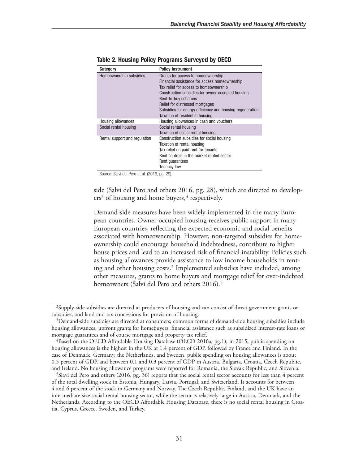| Category                      | <b>Policy Instrument</b>                                 |  |  |  |
|-------------------------------|----------------------------------------------------------|--|--|--|
| Homeownership subsidies       | Grants for access to homeownership                       |  |  |  |
|                               | Financial assistance for access homeownership            |  |  |  |
|                               | Tax relief for access to homeownership                   |  |  |  |
|                               | Construction subsidies for owner-occupied housing        |  |  |  |
|                               | Rent-to-buy schemes                                      |  |  |  |
|                               | Relief for distressed mortgages                          |  |  |  |
|                               | Subsidies for energy efficiency and housing regeneration |  |  |  |
|                               | Taxation of residential housing                          |  |  |  |
| Housing allowances            | Housing allowances in cash and vouchers                  |  |  |  |
| Social rental housing         | Social rental housing                                    |  |  |  |
|                               | Taxation of social rental housing                        |  |  |  |
| Rental support and regulation | Construction subsidies for social housing                |  |  |  |
|                               | Taxation of rental housing                               |  |  |  |
|                               | Tax relief on paid rent for tenants                      |  |  |  |
|                               | Rent controls in the market rented sector                |  |  |  |
|                               | Rent quarantees                                          |  |  |  |
|                               | <b>Tenancy law</b>                                       |  |  |  |

Table 2. Housing Policy Programs Surveyed by OECD

Source: Salvi del Pero et al. (2016, pg. 29).

side (Salvi del Pero and others 2016, pg. 28), which are directed to develop $ers<sup>2</sup>$  of housing and home buyers,<sup>3</sup> respectively.

Demand-side measures have been widely implemented in the many European countries. Owner-occupied housing receives public support in many European countries, reflecting the expected economic and social benefits associated with homeownership. However, non-targeted subsidies for homeownership could encourage household indebtedness, contribute to higher house prices and lead to an increased risk of financial instability. Policies such as housing allowances provide assistance to low income households in renting and other housing costs.<sup>4</sup> Implemented subsidies have included, among other measures, grants to home buyers and mortgage relief for over-indebted homeowners (Salvi del Pero and others 2016).<sup>5</sup>

<sup>2</sup>Supply-side subsidies are directed at producers of housing and can consist of direct government grants or subsidies, and land and tax concessions for provision of housing.

<sup>3</sup>Demand-side subsidies are directed at consumers; common forms of demand-side housing subsidies include housing allowances, upfront grants for homebuyers, financial assistance such as subsidized interest-rate loans or mortgage guarantees and of course mortgage and property tax relief.

<sup>4</sup>Based on the OECD Affordable Housing Database (OECD 2016a, pg.1), in 2015, public spending on housing allowances is the highest in the UK at 1.4 percent of GDP, followed by France and Finland. In the case of Denmark, Germany, the Netherlands, and Sweden, public spending on housing allowances is about 0.5 percent of GDP, and between 0.1 and 0.3 percent of GDP in Austria, Bulgaria, Croatia, Czech Republic, and Ireland. No housing allowance programs were reported for Romania, the Slovak Republic, and Slovenia.

<sup>5</sup>Slavi del Pero and others (2016, pg. 36) reports that the social rental sector accounts for less than 4 percent of the total dwelling stock in Estonia, Hungary, Latvia, Portugal, and Switzerland. It accounts for between 4 and 6 percent of the stock in Germany and Norway. The Czech Republic, Finland, and the UK have an intermediate-size social rental housing sector, while the sector is relatively large in Austria, Denmark, and the Netherlands. According to the OECD Affordable Housing Database, there is no social rental housing in Croatia, Cyprus, Greece, Sweden, and Turkey.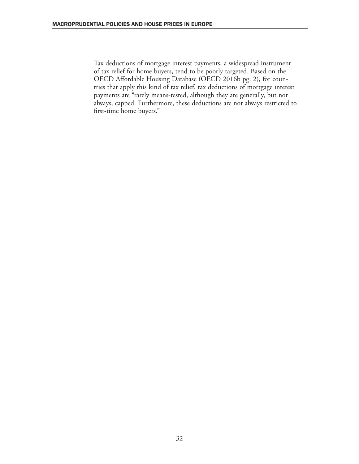Tax deductions of mortgage interest payments, a widespread instrument of tax relief for home buyers, tend to be poorly targeted. Based on the OECD Affordable Housing Database (OECD 2016b pg. 2), for countries that apply this kind of tax relief, tax deductions of mortgage interest payments are "rarely means-tested, although they are generally, but not always, capped. Furthermore, these deductions are not always restricted to first-time home buyers."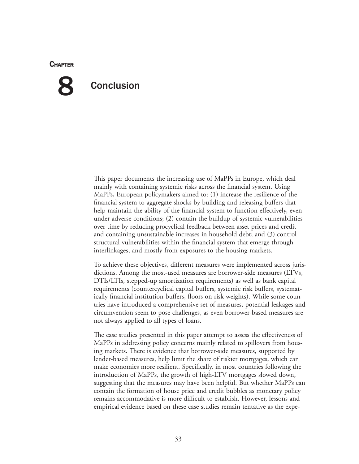#### **CHAPTER**

# 8

## **Conclusion**

This paper documents the increasing use of MaPPs in Europe, which deal mainly with containing systemic risks across the financial system. Using MaPPs, European policymakers aimed to: (1) increase the resilience of the financial system to aggregate shocks by building and releasing buffers that help maintain the ability of the financial system to function effectively, even under adverse conditions; (2) contain the buildup of systemic vulnerabilities over time by reducing procyclical feedback between asset prices and credit and containing unsustainable increases in household debt; and (3) control structural vulnerabilities within the financial system that emerge through interlinkages, and mostly from exposures to the housing markets.

To achieve these objectives, different measures were implemented across jurisdictions. Among the most-used measures are borrower-side measures (LTVs, DTIs/LTIs, stepped-up amortization requirements) as well as bank capital requirements (countercyclical capital buffers, systemic risk buffers, systematically financial institution buffers, floors on risk weights). While some countries have introduced a comprehensive set of measures, potential leakages and circumvention seem to pose challenges, as even borrower-based measures are not always applied to all types of loans.

The case studies presented in this paper attempt to assess the effectiveness of MaPPs in addressing policy concerns mainly related to spillovers from housing markets. There is evidence that borrower-side measures, supported by lender-based measures, help limit the share of riskier mortgages, which can make economies more resilient. Specifically, in most countries following the introduction of MaPPs, the growth of high-LTV mortgages slowed down, suggesting that the measures may have been helpful. But whether MaPPs can contain the formation of house price and credit bubbles as monetary policy remains accommodative is more difficult to establish. However, lessons and empirical evidence based on these case studies remain tentative as the expe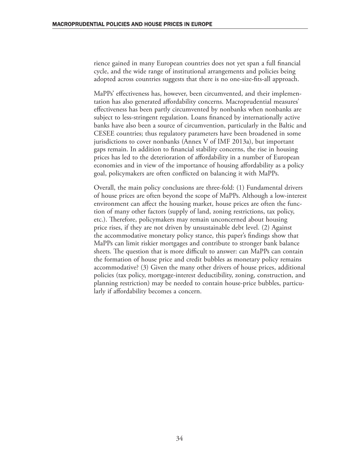rience gained in many European countries does not yet span a full financial cycle, and the wide range of institutional arrangements and policies being adopted across countries suggests that there is no one-size-fits-all approach.

MaPPs' effectiveness has, however, been circumvented, and their implementation has also generated affordability concerns. Macroprudential measures' effectiveness has been partly circumvented by nonbanks when nonbanks are subject to less-stringent regulation. Loans financed by internationally active banks have also been a source of circumvention, particularly in the Baltic and CESEE countries; thus regulatory parameters have been broadened in some jurisdictions to cover nonbanks (Annex V of IMF 2013a), but important gaps remain. In addition to financial stability concerns, the rise in housing prices has led to the deterioration of affordability in a number of European economies and in view of the importance of housing affordability as a policy goal, policymakers are often conflicted on balancing it with MaPPs.

Overall, the main policy conclusions are three-fold: (1) Fundamental drivers of house prices are often beyond the scope of MaPPs. Although a low-interest environment can affect the housing market, house prices are often the function of many other factors (supply of land, zoning restrictions, tax policy, etc.). Therefore, policymakers may remain unconcerned about housing price rises, if they are not driven by unsustainable debt level. (2) Against the accommodative monetary policy stance, this paper's findings show that MaPPs can limit riskier mortgages and contribute to stronger bank balance sheets. The question that is more difficult to answer: can MaPPs can contain the formation of house price and credit bubbles as monetary policy remains accommodative? (3) Given the many other drivers of house prices, additional policies (tax policy, mortgage-interest deductibility, zoning, construction, and planning restriction) may be needed to contain house-price bubbles, particularly if affordability becomes a concern.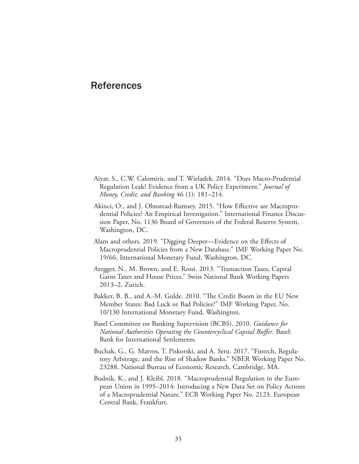### References

- Aiyar, S., C.W. Calomiris, and T. Wieladek. 2014. "Does Macro-Prudential Regulation Leak? Evidence from a UK Policy Experiment." *Journal of Money, Credit, and Banking* 46 (1): 181–214.
- Akinci, O., and J. Olmstead-Rumsey. 2015. "How Effective are Macroprudential Policies? An Empirical Investigation." International Finance Discussion Paper, No. 1136 Board of Governors of the Federal Reserve System, Washington, DC.
- Alam and others. 2019. "Digging Deeper—Evidence on the Effects of Macroprudential Policies from a New Database." IMF Working Paper No. 19/66, International Monetary Fund, Washington, DC.
- Aregger, N., M. Brown, and E. Rossi. 2013. "Transaction Taxes, Capital Gains Taxes and House Prices." Swiss National Bank Working Papers 2013–2, Zurich.
- Bakker, B. B., and A.-M. Gulde. 2010. "The Credit Boom in the EU New Member States: Bad Luck or Bad Policies?" IMF Working Paper, No. 10/130 International Monetary Fund, Washington.
- Basel Committee on Banking Supervision (BCBS). 2010. *Guidance for National Authorities Operating the Countercyclical Capital Buffer*. Basel: Bank for International Settlements.
- Buchak, G., G. Matvos, T. Piskorski, and A. Seru. 2017. "Fintech, Regulatory Arbitrage, and the Rise of Shadow Banks." NBER Working Paper No. 23288, National Bureau of Economic Research, Cambridge, MA.
- Budnik, K., and J. Kleibl. 2018. "Macroprudential Regulation in the European Union in 1995–2014: Introducing a New Data Set on Policy Actions of a Macroprudential Nature." ECB Working Paper No. 2123, European Central Bank, Frankfurt.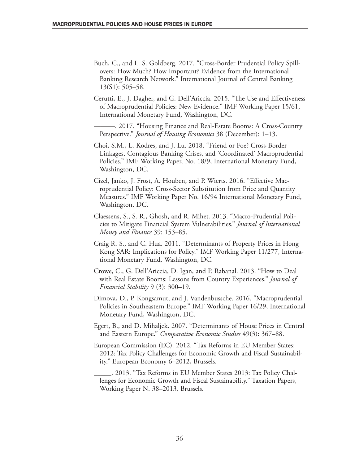Buch, C., and L. S. Goldberg. 2017. "Cross-Border Prudential Policy Spillovers: How Much? How Important? Evidence from the International Banking Research Network." International Journal of Central Banking 13(S1): 505–58.

Cerutti, E., J. Dagher, and G. Dell'Ariccia. 2015. "The Use and Effectiveness of Macroprudential Policies: New Evidence." IMF Working Paper 15/61, International Monetary Fund, Washington, DC.

———. 2017. "Housing Finance and Real-Estate Booms: A Cross-Country Perspective." *Journal of Housing Economics* 38 (December): 1–13.

Choi, S.M., L. Kodres, and J. Lu. 2018. "Friend or Foe? Cross-Border Linkages, Contagious Banking Crises, and 'Coordinated' Macroprudential Policies." IMF Working Paper, No. 18/9, International Monetary Fund, Washington, DC.

Cizel, Janko, J. Frost, A. Houben, and P. Wierts. 2016. "Effective Macroprudential Policy: Cross-Sector Substitution from Price and Quantity Measures." IMF Working Paper No. 16/94 International Monetary Fund, Washington, DC.

Claessens, S., S. R., Ghosh, and R. Mihet. 2013. "Macro-Prudential Policies to Mitigate Financial System Vulnerabilities." *Journal of International Money and Finance* 39: 153–85.

Craig R. S., and C. Hua. 2011. "Determinants of Property Prices in Hong Kong SAR: Implications for Policy." IMF Working Paper 11/277, International Monetary Fund, Washington, DC.

- Crowe, C., G. Dell'Ariccia, D. Igan, and P. Rabanal. 2013. "How to Deal with Real Estate Booms: Lessons from Country Experiences." *Journal of Financial Stability* 9 (3): 300–19.
- Dimova, D., P. Kongsamut, and J. Vandenbussche. 2016. "Macroprudential Policies in Southeastern Europe." IMF Working Paper 16/29, International Monetary Fund, Washington, DC.
- Egert, B., and D. Mihaljek. 2007. "Determinants of House Prices in Central and Eastern Europe." *Comparative Economic Studies* 49(3): 367–88.
- European Commission (EC). 2012. "Tax Reforms in EU Member States: 2012: Tax Policy Challenges for Economic Growth and Fiscal Sustainability." European Economy 6–2012, Brussels.

\_\_\_\_\_. 2013. "Tax Reforms in EU Member States 2013: Tax Policy Challenges for Economic Growth and Fiscal Sustainability." Taxation Papers, Working Paper N. 38–2013, Brussels.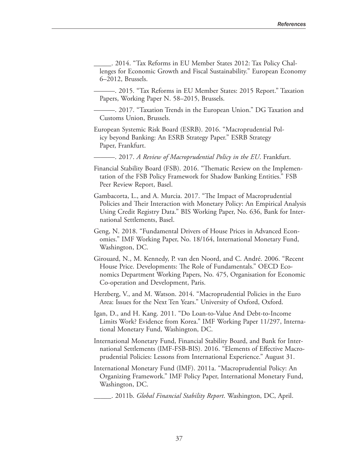\_\_\_\_\_. 2014. "Tax Reforms in EU Member States 2012: Tax Policy Challenges for Economic Growth and Fiscal Sustainability." European Economy 6–2012, Brussels.

———. 2015. "Tax Reforms in EU Member States: 2015 Report." Taxation Papers, Working Paper N. 58–2015, Brussels.

———. 2017. "Taxation Trends in the European Union." DG Taxation and Customs Union, Brussels.

European Systemic Risk Board (ESRB). 2016. "Macroprudential Policy beyond Banking: An ESRB Strategy Paper." ESRB Strategy Paper, Frankfurt.

———. 2017. *A Review of Macroprudential Policy in the EU*. Frankfurt.

Financial Stability Board (FSB). 2016. "Thematic Review on the Implementation of the FSB Policy Framework for Shadow Banking Entities." FSB Peer Review Report, Basel.

- Gambacorta, L., and A. Murcia. 2017. "The Impact of Macroprudential Policies and Their Interaction with Monetary Policy: An Empirical Analysis Using Credit Registry Data." BIS Working Paper, No. 636, Bank for International Settlements, Basel.
- Geng, N. 2018. "Fundamental Drivers of House Prices in Advanced Economies." IMF Working Paper, No. 18/164, International Monetary Fund, Washington, DC.
- Girouard, N., M. Kennedy, P. van den Noord, and C. André. 2006. "Recent House Price. Developments: The Role of Fundamentals." OECD Economics Department Working Papers, No. 475, Organisation for Economic Co-operation and Development, Paris.
- Herzberg, V., and M. Watson. 2014. "Macroprudential Policies in the Euro Area: Issues for the Next Ten Years." University of Oxford, Oxford.
- Igan, D., and H. Kang. 2011. "Do Loan-to-Value And Debt-to-Income Limits Work? Evidence from Korea." IMF Working Paper 11/297, International Monetary Fund, Washington, DC.
- International Monetary Fund, Financial Stability Board, and Bank for International Settlements (IMF-FSB-BIS). 2016. "Elements of Effective Macroprudential Policies: Lessons from International Experience." August 31.
- International Monetary Fund (IMF). 2011a. "Macroprudential Policy: An Organizing Framework." IMF Policy Paper, International Monetary Fund, Washington, DC.

\_\_\_\_\_. 2011b. *Global Financial Stability Report*. Washington, DC, April.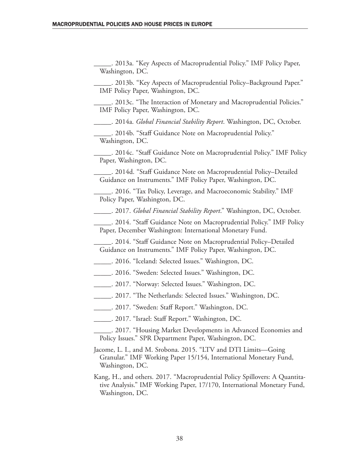\_\_\_\_\_. 2013a. "Key Aspects of Macroprudential Policy." IMF Policy Paper, Washington, DC.

\_\_\_\_\_. 2013b. "Key Aspects of Macroprudential Policy–Background Paper." IMF Policy Paper, Washington, DC.

\_\_\_\_\_. 2013c. "The Interaction of Monetary and Macroprudential Policies." IMF Policy Paper, Washington, DC.

\_\_\_\_\_. 2014a. *Global Financial Stability Report*. Washington, DC, October.

\_\_\_\_\_. 2014b. "Staff Guidance Note on Macroprudential Policy." Washington, DC.

\_\_\_\_\_. 2014c. "Staff Guidance Note on Macroprudential Policy." IMF Policy Paper, Washington, DC.

\_\_\_\_\_. 2014d. "Staff Guidance Note on Macroprudential Policy–Detailed Guidance on Instruments." IMF Policy Paper, Washington, DC.

\_\_\_\_\_. 2016. "Tax Policy, Leverage, and Macroeconomic Stability." IMF Policy Paper, Washington, DC.

\_\_\_\_\_. 2017. *Global Financial Stability Report*." Washington, DC, October.

\_\_\_\_\_. 2014. "Staff Guidance Note on Macroprudential Policy." IMF Policy Paper, December Washington: International Monetary Fund.

\_\_\_\_\_. 2014. "Staff Guidance Note on Macroprudential Policy–Detailed Guidance on Instruments." IMF Policy Paper, Washington, DC.

\_\_\_\_\_. 2016. "Iceland: Selected Issues." Washington, DC.

\_\_\_\_\_. 2016. "Sweden: Selected Issues." Washington, DC.

\_\_\_\_\_. 2017. "Norway: Selected Issues." Washington, DC.

\_\_\_\_\_. 2017. "The Netherlands: Selected Issues." Washington, DC.

\_\_\_\_\_. 2017. "Sweden: Staff Report." Washington, DC.

\_\_\_\_\_. 2017. "Israel: Staff Report." Washington, DC.

\_\_\_\_\_. 2017. "Housing Market Developments in Advanced Economies and Policy Issues." SPR Department Paper, Washington, DC.

Jacome, L. I., and M. Srobona. 2015. "LTV and DTI Limits—Going Granular." IMF Working Paper 15/154, International Monetary Fund, Washington, DC.

Kang, H., and others. 2017. "Macroprudential Policy Spillovers: A Quantitative Analysis." IMF Working Paper, 17/170, International Monetary Fund, Washington, DC.